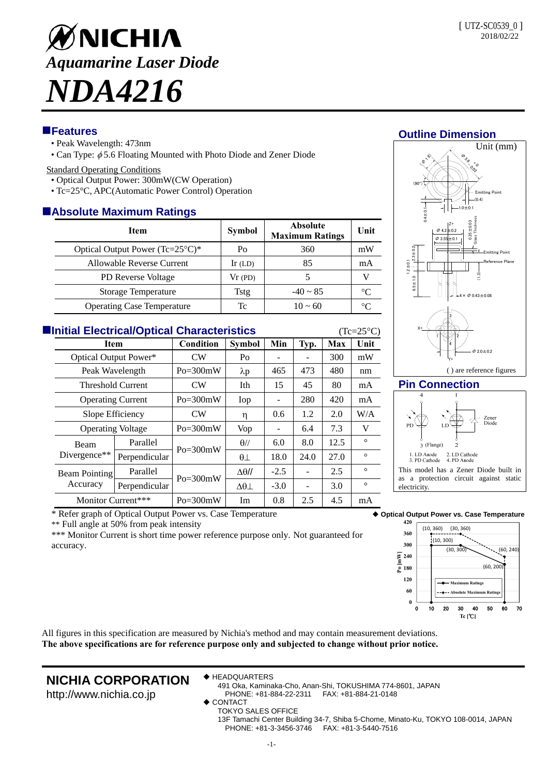

## **Features**

- Peak Wavelength: 473nm
- Can Type:  $\phi$  5.6 Floating Mounted with Photo Diode and Zener Diode

#### Standard Operating Conditions

- Optical Output Power: 300mW(CW Operation)
- Tc=25°C, APC(Automatic Power Control) Operation

## **Absolute Maximum Ratings**

| <b>Item</b>                                 | <b>Symbol</b> | <b>Absolute</b><br><b>Maximum Ratings</b> | Unit            |  |  |  |  |  |  |
|---------------------------------------------|---------------|-------------------------------------------|-----------------|--|--|--|--|--|--|
| Optical Output Power $(Tc=25^{\circ}C)^{*}$ | Po            | 360                                       | mW              |  |  |  |  |  |  |
| Allowable Reverse Current                   | Ir $(LD)$     | 85                                        | mA              |  |  |  |  |  |  |
| <b>PD</b> Reverse Voltage                   | Vr(PD)        |                                           |                 |  |  |  |  |  |  |
| Storage Temperature                         | Tstg          | $-40 \sim 85$                             | $\rm ^{\circ}C$ |  |  |  |  |  |  |
| <b>Operating Case Temperature</b>           | Tc            | $10 \approx 60$                           |                 |  |  |  |  |  |  |

| <b>Elnitial Electrical/Optical Characteristics</b><br>$(Tc=25\degree C)$ |                                  |               |                |                   |                 |      |      |         |  |  |
|--------------------------------------------------------------------------|----------------------------------|---------------|----------------|-------------------|-----------------|------|------|---------|--|--|
| <b>Item</b>                                                              |                                  | Condition     | <b>Symbol</b>  | Min               | Typ.            | Max  | Unit |         |  |  |
|                                                                          | Optical Output Power*            |               | <b>CW</b>      | Po                |                 |      | 300  | mW      |  |  |
|                                                                          | Peak Wavelength                  |               | $Po = 300mW$   | $\lambda p$       | 465             | 473  | 480  | nm      |  |  |
|                                                                          | <b>Threshold Current</b>         |               | CW <sub></sub> | Ith               | 15              | 45   | 80   | mA      |  |  |
|                                                                          | <b>Operating Current</b>         |               | $Po = 300mW$   | Iop               |                 | 280  | 420  | mA      |  |  |
|                                                                          | Slope Efficiency                 |               | CW             | η                 | 0.6             | 1.2  | 2.0  | W/A     |  |  |
|                                                                          | <b>Operating Voltage</b>         |               | $Po = 300mW$   | Vop               | $\qquad \qquad$ | 6.4  | 7.3  | V       |  |  |
|                                                                          | Beam<br>Divergence**             | Parallel      | $Po = 300mW$   | $\theta$ //       | 6.0             | 8.0  | 12.5 | $\circ$ |  |  |
|                                                                          |                                  | Perpendicular |                | $\theta\perp$     | 18.0            | 24.0 | 27.0 | $\circ$ |  |  |
|                                                                          | <b>Beam Pointing</b><br>Accuracy | Parallel      | $Po = 300mW$   | $\Delta\theta$ // | $-2.5$          |      | 2.5  | $\circ$ |  |  |
|                                                                          |                                  | Perpendicular |                | $\Delta\theta$    | $-3.0$          |      | 3.0  | $\circ$ |  |  |
|                                                                          | Monitor Current***               |               | $Po = 300mW$   | Im                | 0.8             | 2.5  | 4.5  | mA      |  |  |



\*\* Full angle at 50% from peak intensity

\*\*\* Monitor Current is short time power reference purpose only. Not guaranteed for accuracy.

## **Outline Dimension**



#### **Pin Connection**



**Optical Output Power vs. Case Temperature**

electricity



All figures in this specification are measured by Nichia's method and may contain measurement deviations. **The above specifications are for reference purpose only and subjected to change without prior notice.**

# **NICHIA CORPORATION**

◆ HEADQUARTERS

http://www.nichia.co.jp 491 Oka, Kaminaka-Cho, Anan-Shi, TOKUSHIMA 774-8601, JAPAN PHONE: +81-884-22-2311 FAX: +81-884-21-0148

- **CONTACT** 
	- TOKYO SALES OFFICE

13F Tamachi Center Building 34-7, Shiba 5-Chome, Minato-Ku, TOKYO 108-0014, JAPAN PHONE: +81-3-3456-3746 FAX: +81-3-5440-7516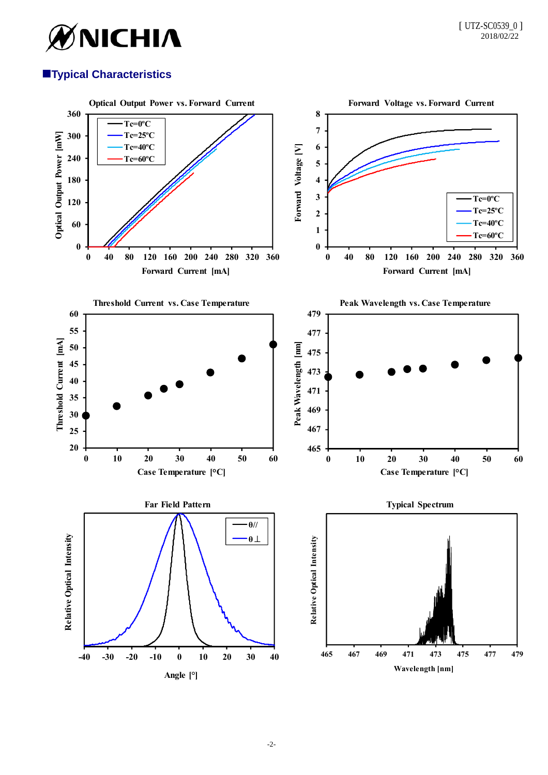

# **Typical Characteristics**